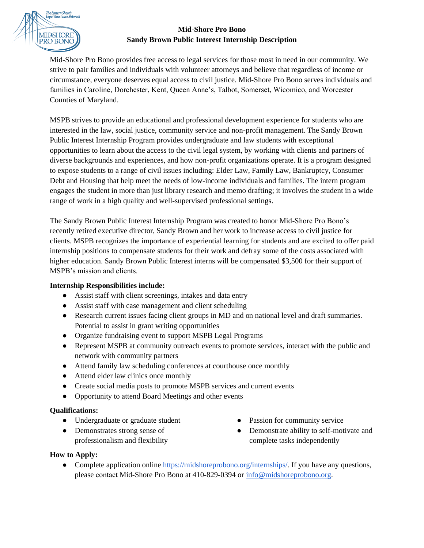

## **Mid-Shore Pro Bono Sandy Brown Public Interest Internship Description**

Mid-Shore Pro Bono provides free access to legal services for those most in need in our community. We strive to pair families and individuals with volunteer attorneys and believe that regardless of income or circumstance, everyone deserves equal access to civil justice. Mid-Shore Pro Bono serves individuals and families in Caroline, Dorchester, Kent, Queen Anne's, Talbot, Somerset, Wicomico, and Worcester Counties of Maryland.

MSPB strives to provide an educational and professional development experience for students who are interested in the law, social justice, community service and non-profit management. The Sandy Brown Public Interest Internship Program provides undergraduate and law students with exceptional opportunities to learn about the access to the civil legal system, by working with clients and partners of diverse backgrounds and experiences, and how non-profit organizations operate. It is a program designed to expose students to a range of civil issues including: Elder Law, Family Law, Bankruptcy, Consumer Debt and Housing that help meet the needs of low-income individuals and families. The intern program engages the student in more than just library research and memo drafting; it involves the student in a wide range of work in a high quality and well-supervised professional settings.

The Sandy Brown Public Interest Internship Program was created to honor Mid-Shore Pro Bono's recently retired executive director, Sandy Brown and her work to increase access to civil justice for clients. MSPB recognizes the importance of experiential learning for students and are excited to offer paid internship positions to compensate students for their work and defray some of the costs associated with higher education. Sandy Brown Public Interest interns will be compensated \$3,500 for their support of MSPB's mission and clients.

# **Internship Responsibilities include:**

- Assist staff with client screenings, intakes and data entry
- Assist staff with case management and client scheduling
- Research current issues facing client groups in MD and on national level and draft summaries. Potential to assist in grant writing opportunities
- Organize fundraising event to support MSPB Legal Programs
- Represent MSPB at community outreach events to promote services, interact with the public and network with community partners
- Attend family law scheduling conferences at courthouse once monthly
- Attend elder law clinics once monthly
- Create social media posts to promote MSPB services and current events
- Opportunity to attend Board Meetings and other events

## **Qualifications:**

- Undergraduate or graduate student
- Demonstrates strong sense of professionalism and flexibility
- Passion for community service
- Demonstrate ability to self-motivate and complete tasks independently

## **How to Apply:**

• Complete application online <https://midshoreprobono.org/internships/>. If you have any questions, please contact [Mid-Shore Pro](mailto:info@midshoreprobono.org) Bono at 410-829-0394 or [info@midshoreprobono.org.](mailto:info@midshoreprobono.org)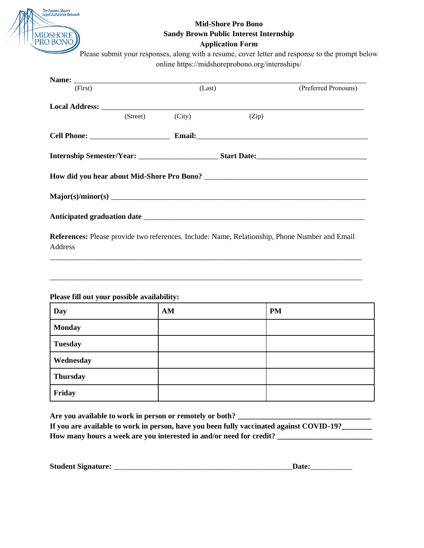

# **Mid-Shore Pro Bono Sandy Brown Public Interest Internship**

#### **Application Form**

Please submit your responses, along with a resume, cover letter and response to the prompt below online https://midshoreprobono.org/internships/

| (First) |          | (Last) |       | (Preferred Pronouns) |
|---------|----------|--------|-------|----------------------|
|         |          |        |       |                      |
|         | (Street) | (City) | (Zip) |                      |
|         |          |        |       |                      |
|         |          |        |       |                      |
|         |          |        |       |                      |
|         |          |        |       |                      |
|         |          |        |       |                      |
|         |          |        |       |                      |

**References:** Please provide two references. Include: Name, Relationship, Phone Number and Email Address

\_\_\_\_\_\_\_\_\_\_\_\_\_\_\_\_\_\_\_\_\_\_\_\_\_\_\_\_\_\_\_\_\_\_\_\_\_\_\_\_\_\_\_\_\_\_\_\_\_\_\_\_\_\_\_\_\_\_\_\_\_\_\_\_\_\_\_\_\_\_\_\_\_\_\_\_\_\_\_\_\_\_

\_\_\_\_\_\_\_\_\_\_\_\_\_\_\_\_\_\_\_\_\_\_\_\_\_\_\_\_\_\_\_\_\_\_\_\_\_\_\_\_\_\_\_\_\_\_\_\_\_\_\_\_\_\_\_\_\_\_\_\_\_\_\_\_\_\_\_\_\_\_\_\_\_\_\_\_\_\_\_\_\_\_

## **Please fill out your possible availability:**

| <b>Day</b>      | AM | <b>PM</b> |
|-----------------|----|-----------|
| <b>Monday</b>   |    |           |
| <b>Tuesday</b>  |    |           |
| Wednesday       |    |           |
| <b>Thursday</b> |    |           |
| Friday          |    |           |

**Are you available to work in person or remotely or both? \_\_\_\_\_\_\_\_\_\_\_\_\_\_\_\_\_\_\_\_\_\_\_\_\_\_\_\_\_\_\_\_\_\_\_ If you are available to work in person, have you been fully vaccinated against COVID-19?\_\_\_\_\_\_\_\_ How many hours a week are you interested in and/or need for credit? \_\_\_\_\_\_\_\_\_\_\_\_\_\_\_\_\_\_\_\_\_\_\_\_\_**

| <b>Student Signature:</b> |  |
|---------------------------|--|
|---------------------------|--|